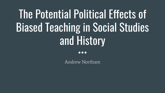# The Potential Political Effects of Biased Teaching in Social Studies and History

**...** 

Andrew Northam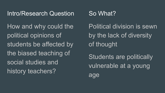#### Intro/Research Question

How and why could the political opinions of students be affected by the biased teaching of social studies and history teachers?

#### So What?

Political division is sewn by the lack of diversity of thought

Students are politically vulnerable at a young age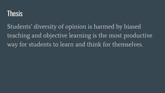# **Thesis**

Students' diversity of opinion is harmed by biased teaching and objective learning is the most productive way for students to learn and think for themselves.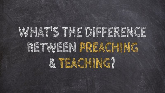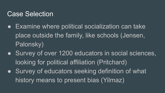### Case Selection

- Examine where political socialization can take place outside the family, like schools (Jensen, Palonsky)
- Survey of over 1200 educators in social sciences, looking for political affiliation (Pritchard)
- Survey of educators seeking definition of what history means to present bias (Yilmaz)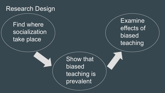#### Research Design

#### **Find where** socialization take place

**Show that** biased teaching is prevalent

**Examine** effects of biased teaching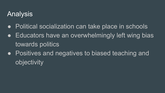## Analysis

- Political socialization can take place in schools
- Educators have an overwhelmingly left wing bias towards politics
- Positives and negatives to biased teaching and objectivity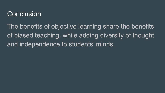### **Conclusion**

The benefits of objective learning share the benefits of biased teaching, while adding diversity of thought and independence to students' minds.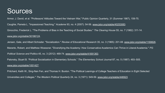#### **Sources**

Armor, J. David, et al. "Professors' Attitudes Toward the Vietnam War," Public Opinion Quarterly, 31 (Summer 1967), 159-75. Caughie, Pamela L. "Impassioned Teaching." *Academe* 93, no. 4 (2007): 54-56. [www.jstor.org/stable/40253083.](http://www.jstor.org/stable/40253083) Ginocchio, Frederick L. "The Problems of Bias in the Teaching of Social Studies." *The Clearing House* 55, no. 7 (1982): 311-14. [www.jstor.org/stable/30186124](http://www.jstor.org/stable/30186124).

Jensen, Gale, and Albert Schrader. "Socialization." *Review of Educational Research* 35, no. 3 (1965): 201-08. [www.jstor.org/stable/1169826.](http://www.jstor.org/stable/1169826) Maranto, Robert, and Matthew Woessner. "Diversifying the Academy: How Conservative Academics Can Thrive in Liberal Academia." *PS: Political Science and Politics* 45, no. 3 (2012): 469-74. [www.jstor.org/stable/41691363.](http://www.jstor.org/stable/41691363)

Palonsky, Stuart B. "Political Socialization in Elementary Schools." *The Elementary School Journal* 87, no. 5 (1987): 493–505. [www.jstor.org/stable/1001427](http://www.jstor.org/stable/1001427).

Pritchard, Keith W., Sing-Nan Fen, and Thomas H. Buxton. "The Political Leanings of College Teachers of Education in Eight Selected Universities and Colleges." *The Western Political Quarterly* 24, no. 3 (1971): 549-59. [www.jstor.org/stable/446923](http://www.jstor.org/stable/446923)